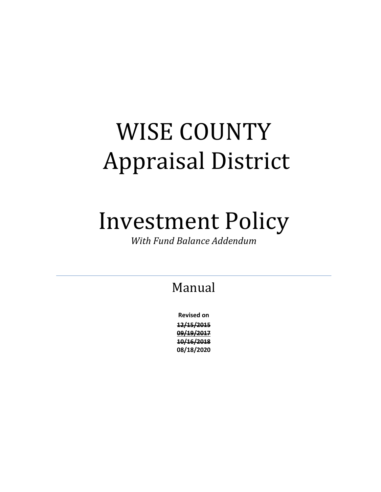# WISE COUNTY Appraisal District

## Investment Policy

*With Fund Balance Addendum*

## Manual

**Revised on 12/15/2015 09/19/2017 10/16/2018 08/18/2020**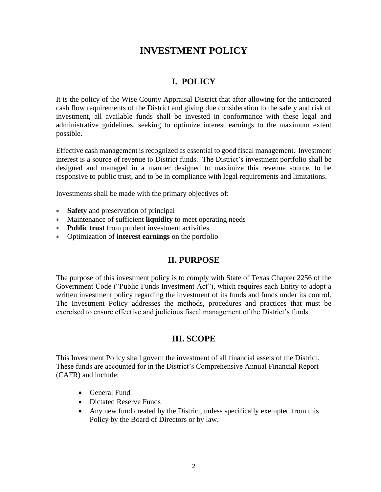## **INVESTMENT POLICY**

## **I. POLICY**

It is the policy of the Wise County Appraisal District that after allowing for the anticipated cash flow requirements of the District and giving due consideration to the safety and risk of investment, all available funds shall be invested in conformance with these legal and administrative guidelines, seeking to optimize interest earnings to the maximum extent possible.

Effective cash management is recognized as essential to good fiscal management. Investment interest is a source of revenue to District funds. The District's investment portfolio shall be designed and managed in a manner designed to maximize this revenue source, to be responsive to public trust, and to be in compliance with legal requirements and limitations.

Investments shall be made with the primary objectives of:

- **Safety** and preservation of principal
- Maintenance of sufficient **liquidity** to meet operating needs
- **Public trust** from prudent investment activities
- Optimization of **interest earnings** on the portfolio

#### **II. PURPOSE**

The purpose of this investment policy is to comply with State of Texas Chapter 2256 of the Government Code ("Public Funds Investment Act"), which requires each Entity to adopt a written investment policy regarding the investment of its funds and funds under its control. The Investment Policy addresses the methods, procedures and practices that must be exercised to ensure effective and judicious fiscal management of the District's funds.

#### **III. SCOPE**

This Investment Policy shall govern the investment of all financial assets of the District. These funds are accounted for in the District's Comprehensive Annual Financial Report (CAFR) and include:

- General Fund
- Dictated Reserve Funds
- Any new fund created by the District, unless specifically exempted from this Policy by the Board of Directors or by law.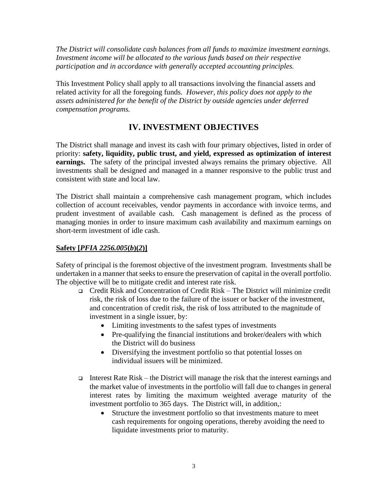*The District will consolidate cash balances from all funds to maximize investment earnings. Investment income will be allocated to the various funds based on their respective participation and in accordance with generally accepted accounting principles.*

This Investment Policy shall apply to all transactions involving the financial assets and related activity for all the foregoing funds. *However, this policy does not apply to the assets administered for the benefit of the District by outside agencies under deferred compensation programs.*

## **IV. INVESTMENT OBJECTIVES**

The District shall manage and invest its cash with four primary objectives, listed in order of priority: **safety, liquidity, public trust, and yield, expressed as optimization of interest earnings.** The safety of the principal invested always remains the primary objective. All investments shall be designed and managed in a manner responsive to the public trust and consistent with state and local law.

The District shall maintain a comprehensive cash management program, which includes collection of account receivables, vendor payments in accordance with invoice terms, and prudent investment of available cash. Cash management is defined as the process of managing monies in order to insure maximum cash availability and maximum earnings on short-term investment of idle cash.

#### **Safety [***PFIA 2256.005***(***b***)(***2***)]**

Safety of principal is the foremost objective of the investment program. Investments shall be undertaken in a manner that seeks to ensure the preservation of capital in the overall portfolio. The objective will be to mitigate credit and interest rate risk.

- ❑ Credit Risk and Concentration of Credit Risk The District will minimize credit risk, the risk of loss due to the failure of the issuer or backer of the investment, and concentration of credit risk, the risk of loss attributed to the magnitude of investment in a single issuer, by:
	- Limiting investments to the safest types of investments
	- Pre-qualifying the financial institutions and broker/dealers with which the District will do business
	- Diversifying the investment portfolio so that potential losses on individual issuers will be minimized.
- ❑ Interest Rate Risk the District will manage the risk that the interest earnings and the market value of investments in the portfolio will fall due to changes in general interest rates by limiting the maximum weighted average maturity of the investment portfolio to 365 days. The District will, in addition,:
	- Structure the investment portfolio so that investments mature to meet cash requirements for ongoing operations, thereby avoiding the need to liquidate investments prior to maturity.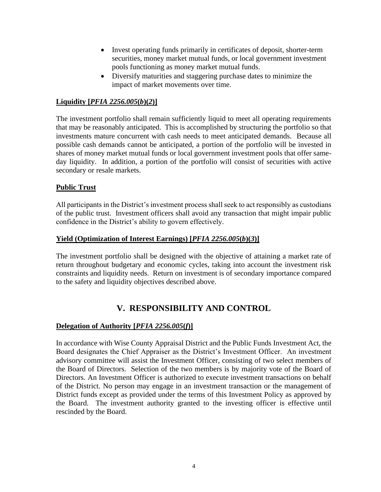- Invest operating funds primarily in certificates of deposit, shorter-term securities, money market mutual funds, or local government investment pools functioning as money market mutual funds.
- Diversify maturities and staggering purchase dates to minimize the impact of market movements over time.

#### **Liquidity [***PFIA 2256.005***(***b***)(***2***)]**

The investment portfolio shall remain sufficiently liquid to meet all operating requirements that may be reasonably anticipated. This is accomplished by structuring the portfolio so that investments mature concurrent with cash needs to meet anticipated demands. Because all possible cash demands cannot be anticipated, a portion of the portfolio will be invested in shares of money market mutual funds or local government investment pools that offer sameday liquidity. In addition, a portion of the portfolio will consist of securities with active secondary or resale markets.

#### **Public Trust**

All participants in the District's investment process shall seek to act responsibly as custodians of the public trust. Investment officers shall avoid any transaction that might impair public confidence in the District's ability to govern effectively.

#### **Yield (Optimization of Interest Earnings) [***PFIA 2256.005***(***b***)(***3***)]**

The investment portfolio shall be designed with the objective of attaining a market rate of return throughout budgetary and economic cycles, taking into account the investment risk constraints and liquidity needs. Return on investment is of secondary importance compared to the safety and liquidity objectives described above.

## **V. RESPONSIBILITY AND CONTROL**

#### **Delegation of Authority [***PFIA 2256.005***(***f***)]**

In accordance with Wise County Appraisal District and the Public Funds Investment Act, the Board designates the Chief Appraiser as the District's Investment Officer. An investment advisory committee will assist the Investment Officer, consisting of two select members of the Board of Directors. Selection of the two members is by majority vote of the Board of Directors. An Investment Officer is authorized to execute investment transactions on behalf of the District. No person may engage in an investment transaction or the management of District funds except as provided under the terms of this Investment Policy as approved by the Board. The investment authority granted to the investing officer is effective until rescinded by the Board.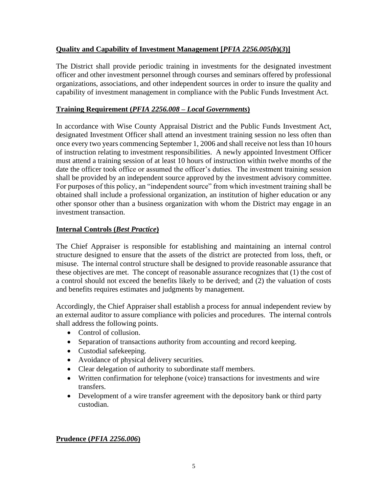#### **Quality and Capability of Investment Management [***PFIA 2256.005(b***)(***3***)]**

The District shall provide periodic training in investments for the designated investment officer and other investment personnel through courses and seminars offered by professional organizations, associations, and other independent sources in order to insure the quality and capability of investment management in compliance with the Public Funds Investment Act.

#### **Training Requirement (***PFIA 2256.008* **–** *Local Governments***)**

In accordance with Wise County Appraisal District and the Public Funds Investment Act, designated Investment Officer shall attend an investment training session no less often than once every two years commencing September 1, 2006 and shall receive not less than 10 hours of instruction relating to investment responsibilities. A newly appointed Investment Officer must attend a training session of at least 10 hours of instruction within twelve months of the date the officer took office or assumed the officer's duties. The investment training session shall be provided by an independent source approved by the investment advisory committee. For purposes of this policy, an "independent source" from which investment training shall be obtained shall include a professional organization, an institution of higher education or any other sponsor other than a business organization with whom the District may engage in an investment transaction.

#### **Internal Controls (***Best Practice***)**

The Chief Appraiser is responsible for establishing and maintaining an internal control structure designed to ensure that the assets of the district are protected from loss, theft, or misuse. The internal control structure shall be designed to provide reasonable assurance that these objectives are met. The concept of reasonable assurance recognizes that (1) the cost of a control should not exceed the benefits likely to be derived; and (2) the valuation of costs and benefits requires estimates and judgments by management.

Accordingly, the Chief Appraiser shall establish a process for annual independent review by an external auditor to assure compliance with policies and procedures. The internal controls shall address the following points.

- Control of collusion.
- Separation of transactions authority from accounting and record keeping.
- Custodial safekeeping.
- Avoidance of physical delivery securities.
- Clear delegation of authority to subordinate staff members.
- Written confirmation for telephone (voice) transactions for investments and wire transfers.
- Development of a wire transfer agreement with the depository bank or third party custodian.

#### **Prudence (***PFIA 2256.006***)**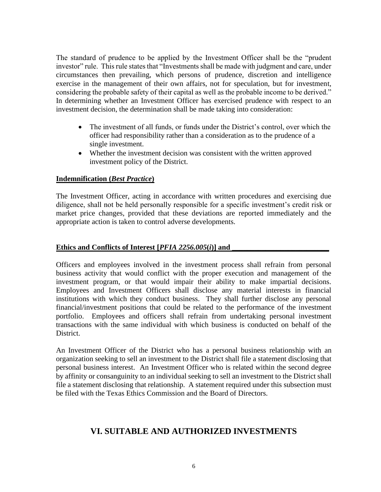The standard of prudence to be applied by the Investment Officer shall be the "prudent investor" rule. This rule states that "Investments shall be made with judgment and care, under circumstances then prevailing, which persons of prudence, discretion and intelligence exercise in the management of their own affairs, not for speculation, but for investment, considering the probable safety of their capital as well as the probable income to be derived." In determining whether an Investment Officer has exercised prudence with respect to an investment decision, the determination shall be made taking into consideration:

- The investment of all funds, or funds under the District's control, over which the officer had responsibility rather than a consideration as to the prudence of a single investment.
- Whether the investment decision was consistent with the written approved investment policy of the District.

#### **Indemnification (***Best Practice***)**

The Investment Officer, acting in accordance with written procedures and exercising due diligence, shall not be held personally responsible for a specific investment's credit risk or market price changes, provided that these deviations are reported immediately and the appropriate action is taken to control adverse developments.

#### Ethics and Conflicts of Interest [*PFIA 2256.005*(*i*)] and

Officers and employees involved in the investment process shall refrain from personal business activity that would conflict with the proper execution and management of the investment program, or that would impair their ability to make impartial decisions. Employees and Investment Officers shall disclose any material interests in financial institutions with which they conduct business. They shall further disclose any personal financial/investment positions that could be related to the performance of the investment portfolio. Employees and officers shall refrain from undertaking personal investment transactions with the same individual with which business is conducted on behalf of the District.

An Investment Officer of the District who has a personal business relationship with an organization seeking to sell an investment to the District shall file a statement disclosing that personal business interest. An Investment Officer who is related within the second degree by affinity or consanguinity to an individual seeking to sell an investment to the District shall file a statement disclosing that relationship. A statement required under this subsection must be filed with the Texas Ethics Commission and the Board of Directors.

#### **VI. SUITABLE AND AUTHORIZED INVESTMENTS**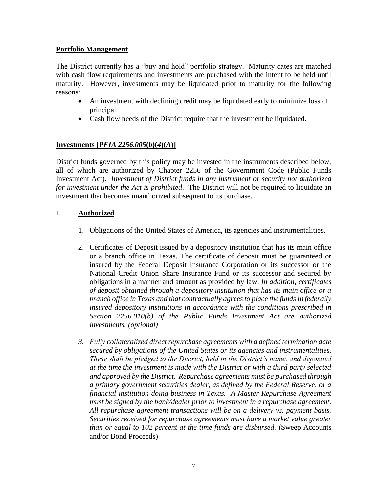#### **Portfolio Management**

The District currently has a "buy and hold" portfolio strategy. Maturity dates are matched with cash flow requirements and investments are purchased with the intent to be held until maturity. However, investments may be liquidated prior to maturity for the following reasons:

- An investment with declining credit may be liquidated early to minimize loss of principal.
- Cash flow needs of the District require that the investment be liquidated.

#### **Investments [***PFIA 2256.005***(***b***)(***4***)(***A***)]**

District funds governed by this policy may be invested in the instruments described below, all of which are authorized by Chapter 2256 of the Government Code (Public Funds Investment Act). *Investment of District funds in any instrument or security not authorized for investment under the Act is prohibited*. The District will not be required to liquidate an investment that becomes unauthorized subsequent to its purchase.

#### I. **Authorized**

- 1. Obligations of the United States of America, its agencies and instrumentalities.
- 2. Certificates of Deposit issued by a depository institution that has its main office or a branch office in Texas. The certificate of deposit must be guaranteed or insured by the Federal Deposit Insurance Corporation or its successor or the National Credit Union Share Insurance Fund or its successor and secured by obligations in a manner and amount as provided by law. *In addition, certificates of deposit obtained through a depository institution that has its main office or a branch office in Texas and that contractually agrees to place the funds in federally insured depository institutions in accordance with the conditions prescribed in Section 2256.010(b) of the Public Funds Investment Act are authorized investments. (optional)*
- *3. Fully collateralized direct repurchase agreements with a defined termination date secured by obligations of the United States or its agencies and instrumentalities. These shall be pledged to the District, held in the District's name, and deposited at the time the investment is made with the District or with a third party selected and approved by the District. Repurchase agreements must be purchased through a primary government securities dealer, as defined by the Federal Reserve, or a financial institution doing business in Texas. A Master Repurchase Agreement must be signed by the bank/dealer prior to investment in a repurchase agreement. All repurchase agreement transactions will be on a delivery vs. payment basis. Securities received for repurchase agreements must have a market value greater than or equal to 102 percent at the time funds are disbursed.* (Sweep Accounts and/or Bond Proceeds)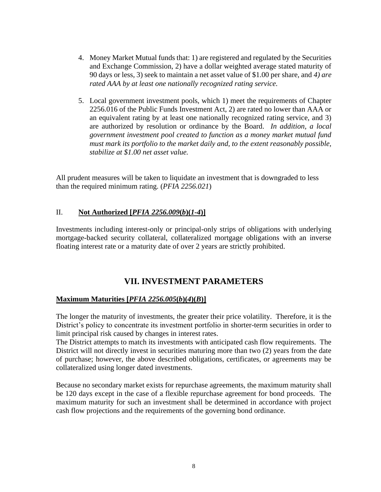- 4. Money Market Mutual funds that: 1) are registered and regulated by the Securities and Exchange Commission, 2) have a dollar weighted average stated maturity of 90 days or less, 3) seek to maintain a net asset value of \$1.00 per share, and *4) are rated AAA by at least one nationally recognized rating service.*
- 5. Local government investment pools, which 1) meet the requirements of Chapter 2256.016 of the Public Funds Investment Act, 2) are rated no lower than AAA or an equivalent rating by at least one nationally recognized rating service, and 3) are authorized by resolution or ordinance by the Board. *In addition, a local government investment pool created to function as a money market mutual fund must mark its portfolio to the market daily and, to the extent reasonably possible, stabilize at \$1.00 net asset value.*

All prudent measures will be taken to liquidate an investment that is downgraded to less than the required minimum rating. (*PFIA 2256.021*)

#### II. **Not Authorized [***PFIA 2256.009***(***b***)(***1-4***)]**

Investments including interest-only or principal-only strips of obligations with underlying mortgage-backed security collateral, collateralized mortgage obligations with an inverse floating interest rate or a maturity date of over 2 years are strictly prohibited.

#### **VII. INVESTMENT PARAMETERS**

#### **Maximum Maturities [***PFIA 2256.005***(***b***)(***4***)(***B***)]**

The longer the maturity of investments, the greater their price volatility. Therefore, it is the District's policy to concentrate its investment portfolio in shorter-term securities in order to limit principal risk caused by changes in interest rates.

The District attempts to match its investments with anticipated cash flow requirements. The District will not directly invest in securities maturing more than two  $(2)$  years from the date of purchase; however, the above described obligations, certificates, or agreements may be collateralized using longer dated investments.

Because no secondary market exists for repurchase agreements, the maximum maturity shall be 120 days except in the case of a flexible repurchase agreement for bond proceeds. The maximum maturity for such an investment shall be determined in accordance with project cash flow projections and the requirements of the governing bond ordinance.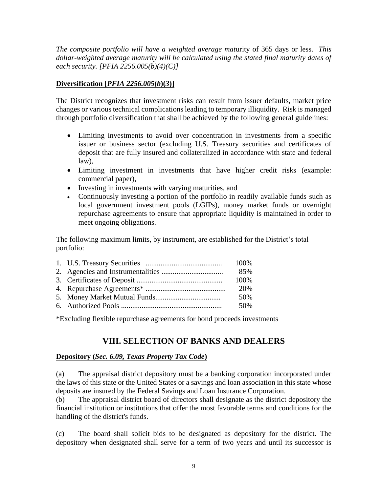*The composite portfolio will have a weighted average mat*urity of 365 days or less. *This dollar-weighted average maturity will be calculated using the stated final maturity dates of each security. [PFIA 2256.005(b)(4)(C)]*

#### **Diversification [***PFIA 2256.005***(***b***)(***3***)]**

The District recognizes that investment risks can result from issuer defaults, market price changes or various technical complications leading to temporary illiquidity. Risk is managed through portfolio diversification that shall be achieved by the following general guidelines:

- Limiting investments to avoid over concentration in investments from a specific issuer or business sector (excluding U.S. Treasury securities and certificates of deposit that are fully insured and collateralized in accordance with state and federal law),
- Limiting investment in investments that have higher credit risks (example: commercial paper),
- Investing in investments with varying maturities, and
- Continuously investing a portion of the portfolio in readily available funds such as local government investment pools (LGIPs), money market funds or overnight repurchase agreements to ensure that appropriate liquidity is maintained in order to meet ongoing obligations.

The following maximum limits, by instrument, are established for the District's total portfolio:

|  | 85%  |
|--|------|
|  | 100% |
|  | 20%  |
|  | .50% |
|  | 50%  |

\*Excluding flexible repurchase agreements for bond proceeds investments

## **VIII. SELECTION OF BANKS AND DEALERS**

#### **Depository (***Sec. 6.09, Texas Property Tax Code***)**

(a) The appraisal district depository must be a banking corporation incorporated under the laws of this state or the United States or a savings and loan association in this state whose deposits are insured by the Federal Savings and Loan Insurance Corporation.

(b) The appraisal district board of directors shall designate as the district depository the financial institution or institutions that offer the most favorable terms and conditions for the handling of the district's funds.

(c) The board shall solicit bids to be designated as depository for the district. The depository when designated shall serve for a term of two years and until its successor is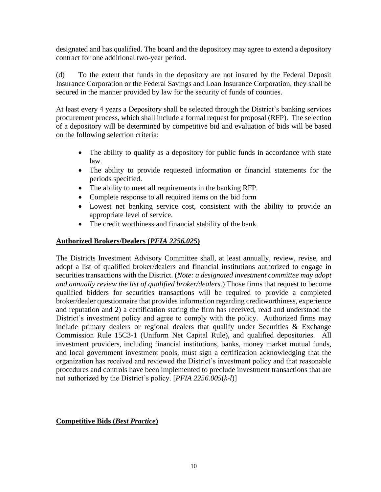designated and has qualified. The board and the depository may agree to extend a depository contract for one additional two-year period.

(d) To the extent that funds in the depository are not insured by the Federal Deposit Insurance Corporation or the Federal Savings and Loan Insurance Corporation, they shall be secured in the manner provided by law for the security of funds of counties.

At least every 4 years a Depository shall be selected through the District's banking services procurement process, which shall include a formal request for proposal (RFP). The selection of a depository will be determined by competitive bid and evaluation of bids will be based on the following selection criteria:

- The ability to qualify as a depository for public funds in accordance with state law.
- The ability to provide requested information or financial statements for the periods specified.
- The ability to meet all requirements in the banking RFP.
- Complete response to all required items on the bid form
- Lowest net banking service cost, consistent with the ability to provide an appropriate level of service.
- The credit worthiness and financial stability of the bank.

#### **Authorized Brokers/Dealers (***PFIA 2256.025***)**

The Districts Investment Advisory Committee shall, at least annually, review, revise, and adopt a list of qualified broker/dealers and financial institutions authorized to engage in securities transactions with the District. (*Note: a designated investment committee may adopt and annually review the list of qualified broker/dealers*.) Those firms that request to become qualified bidders for securities transactions will be required to provide a completed broker/dealer questionnaire that provides information regarding creditworthiness, experience and reputation and 2) a certification stating the firm has received, read and understood the District's investment policy and agree to comply with the policy. Authorized firms may include primary dealers or regional dealers that qualify under Securities  $\&$  Exchange Commission Rule 15C3-1 (Uniform Net Capital Rule), and qualified depositories. All investment providers, including financial institutions, banks, money market mutual funds, and local government investment pools, must sign a certification acknowledging that the organization has received and reviewed the District's investment policy and that reasonable procedures and controls have been implemented to preclude investment transactions that are not authorized by the District's policy. [*PFIA 2256.005*(*k-l*)]

#### **Competitive Bids (***Best Practice***)**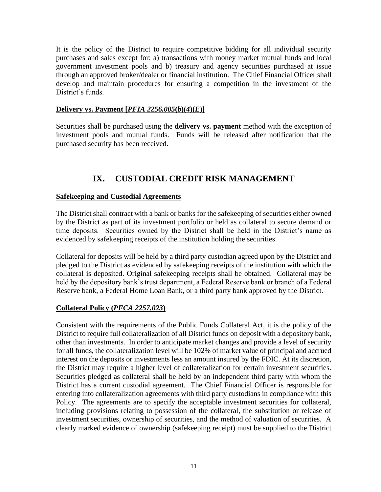It is the policy of the District to require competitive bidding for all individual security purchases and sales except for: a) transactions with money market mutual funds and local government investment pools and b) treasury and agency securities purchased at issue through an approved broker/dealer or financial institution. The Chief Financial Officer shall develop and maintain procedures for ensuring a competition in the investment of the District's funds.

#### **Delivery vs. Payment [***PFIA 2256.005***(***b***)(***4***)(***E***)]**

Securities shall be purchased using the **delivery vs. payment** method with the exception of investment pools and mutual funds. Funds will be released after notification that the purchased security has been received.

## **IX. CUSTODIAL CREDIT RISK MANAGEMENT**

#### **Safekeeping and Custodial Agreements**

The District shall contract with a bank or banks for the safekeeping of securities either owned by the District as part of its investment portfolio or held as collateral to secure demand or time deposits. Securities owned by the District shall be held in the District's name as evidenced by safekeeping receipts of the institution holding the securities.

Collateral for deposits will be held by a third party custodian agreed upon by the District and pledged to the District as evidenced by safekeeping receipts of the institution with which the collateral is deposited. Original safekeeping receipts shall be obtained. Collateral may be held by the depository bank's trust department, a Federal Reserve bank or branch of a Federal Reserve bank, a Federal Home Loan Bank, or a third party bank approved by the District.

#### **Collateral Policy (***PFCA 2257.023***)**

Consistent with the requirements of the Public Funds Collateral Act, it is the policy of the District to require full collateralization of all District funds on deposit with a depository bank, other than investments. In order to anticipate market changes and provide a level of security for all funds, the collateralization level will be 102% of market value of principal and accrued interest on the deposits or investments less an amount insured by the FDIC. At its discretion, the District may require a higher level of collateralization for certain investment securities. Securities pledged as collateral shall be held by an independent third party with whom the District has a current custodial agreement. The Chief Financial Officer is responsible for entering into collateralization agreements with third party custodians in compliance with this Policy. The agreements are to specify the acceptable investment securities for collateral, including provisions relating to possession of the collateral, the substitution or release of investment securities, ownership of securities, and the method of valuation of securities. A clearly marked evidence of ownership (safekeeping receipt) must be supplied to the District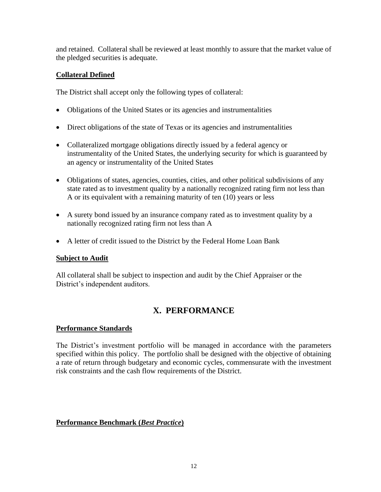and retained. Collateral shall be reviewed at least monthly to assure that the market value of the pledged securities is adequate.

#### **Collateral Defined**

The District shall accept only the following types of collateral:

- Obligations of the United States or its agencies and instrumentalities
- Direct obligations of the state of Texas or its agencies and instrumentalities
- Collateralized mortgage obligations directly issued by a federal agency or instrumentality of the United States, the underlying security for which is guaranteed by an agency or instrumentality of the United States
- Obligations of states, agencies, counties, cities, and other political subdivisions of any state rated as to investment quality by a nationally recognized rating firm not less than A or its equivalent with a remaining maturity of ten (10) years or less
- A surety bond issued by an insurance company rated as to investment quality by a nationally recognized rating firm not less than A
- A letter of credit issued to the District by the Federal Home Loan Bank

#### **Subject to Audit**

All collateral shall be subject to inspection and audit by the Chief Appraiser or the District's independent auditors.

## **X. PERFORMANCE**

#### **Performance Standards**

The District's investment portfolio will be managed in accordance with the parameters specified within this policy. The portfolio shall be designed with the objective of obtaining a rate of return through budgetary and economic cycles, commensurate with the investment risk constraints and the cash flow requirements of the District.

#### **Performance Benchmark (***Best Practice***)**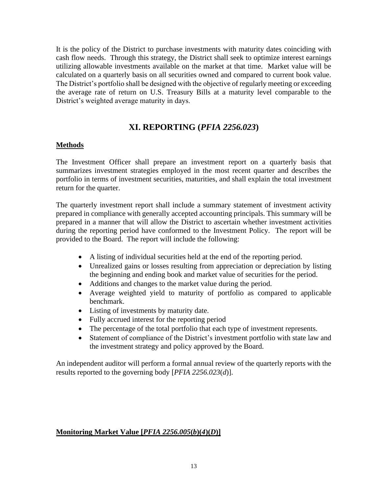It is the policy of the District to purchase investments with maturity dates coinciding with cash flow needs. Through this strategy, the District shall seek to optimize interest earnings utilizing allowable investments available on the market at that time. Market value will be calculated on a quarterly basis on all securities owned and compared to current book value. The District's portfolio shall be designed with the objective of regularly meeting or exceeding the average rate of return on U.S. Treasury Bills at a maturity level comparable to the District's weighted average maturity in days.

### **XI. REPORTING (***PFIA 2256.023***)**

#### **Methods**

The Investment Officer shall prepare an investment report on a quarterly basis that summarizes investment strategies employed in the most recent quarter and describes the portfolio in terms of investment securities, maturities, and shall explain the total investment return for the quarter.

The quarterly investment report shall include a summary statement of investment activity prepared in compliance with generally accepted accounting principals. This summary will be prepared in a manner that will allow the District to ascertain whether investment activities during the reporting period have conformed to the Investment Policy. The report will be provided to the Board. The report will include the following:

- A listing of individual securities held at the end of the reporting period.
- Unrealized gains or losses resulting from appreciation or depreciation by listing the beginning and ending book and market value of securities for the period.
- Additions and changes to the market value during the period.
- Average weighted yield to maturity of portfolio as compared to applicable benchmark.
- Listing of investments by maturity date.
- Fully accrued interest for the reporting period
- The percentage of the total portfolio that each type of investment represents.
- Statement of compliance of the District's investment portfolio with state law and the investment strategy and policy approved by the Board.

An independent auditor will perform a formal annual review of the quarterly reports with the results reported to the governing body [*PFIA 2256.023*(*d*)].

#### **Monitoring Market Value [***PFIA 2256.005***(***b***)(***4***)(***D***)]**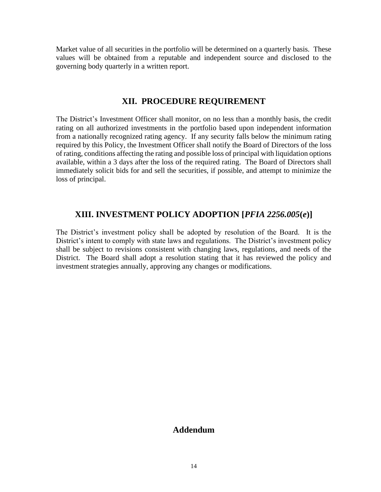Market value of all securities in the portfolio will be determined on a quarterly basis. These values will be obtained from a reputable and independent source and disclosed to the governing body quarterly in a written report.

#### **XII. PROCEDURE REQUIREMENT**

The District's Investment Officer shall monitor, on no less than a monthly basis, the credit rating on all authorized investments in the portfolio based upon independent information from a nationally recognized rating agency. If any security falls below the minimum rating required by this Policy, the Investment Officer shall notify the Board of Directors of the loss of rating, conditions affecting the rating and possible loss of principal with liquidation options available, within a 3 days after the loss of the required rating. The Board of Directors shall immediately solicit bids for and sell the securities, if possible, and attempt to minimize the loss of principal.

#### **XIII. INVESTMENT POLICY ADOPTION [***PFIA 2256.005***(***e***)]**

The District's investment policy shall be adopted by resolution of the Board. It is the District's intent to comply with state laws and regulations. The District's investment policy shall be subject to revisions consistent with changing laws, regulations, and needs of the District. The Board shall adopt a resolution stating that it has reviewed the policy and investment strategies annually, approving any changes or modifications.

#### **Addendum**